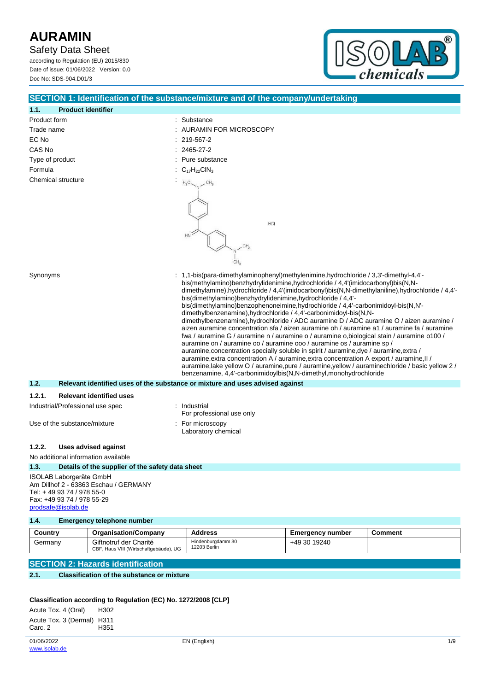Safety Data Sheet

according to Regulation (EU) 2015/830 Date of issue: 01/06/2022 Version: 0.0 Doc No: SDS-904.D01/3



|                                                                                                                                                   |                                                  | SECTION 1: Identification of the substance/mixture and of the company/undertaking                                                                                                                                                                                                                                                                                                                                                                                                                                                                                                                                                                                                                                                                                                                                                                                                                                                                                                                                                                                                                                                                  |  |  |
|---------------------------------------------------------------------------------------------------------------------------------------------------|--------------------------------------------------|----------------------------------------------------------------------------------------------------------------------------------------------------------------------------------------------------------------------------------------------------------------------------------------------------------------------------------------------------------------------------------------------------------------------------------------------------------------------------------------------------------------------------------------------------------------------------------------------------------------------------------------------------------------------------------------------------------------------------------------------------------------------------------------------------------------------------------------------------------------------------------------------------------------------------------------------------------------------------------------------------------------------------------------------------------------------------------------------------------------------------------------------------|--|--|
| 1.1.                                                                                                                                              | <b>Product identifier</b>                        |                                                                                                                                                                                                                                                                                                                                                                                                                                                                                                                                                                                                                                                                                                                                                                                                                                                                                                                                                                                                                                                                                                                                                    |  |  |
| Product form                                                                                                                                      |                                                  | Substance                                                                                                                                                                                                                                                                                                                                                                                                                                                                                                                                                                                                                                                                                                                                                                                                                                                                                                                                                                                                                                                                                                                                          |  |  |
| Trade name                                                                                                                                        |                                                  | AURAMIN FOR MICROSCOPY                                                                                                                                                                                                                                                                                                                                                                                                                                                                                                                                                                                                                                                                                                                                                                                                                                                                                                                                                                                                                                                                                                                             |  |  |
| EC No                                                                                                                                             |                                                  | 219-567-2                                                                                                                                                                                                                                                                                                                                                                                                                                                                                                                                                                                                                                                                                                                                                                                                                                                                                                                                                                                                                                                                                                                                          |  |  |
| CAS No                                                                                                                                            |                                                  | 2465-27-2                                                                                                                                                                                                                                                                                                                                                                                                                                                                                                                                                                                                                                                                                                                                                                                                                                                                                                                                                                                                                                                                                                                                          |  |  |
| Type of product                                                                                                                                   |                                                  | Pure substance                                                                                                                                                                                                                                                                                                                                                                                                                                                                                                                                                                                                                                                                                                                                                                                                                                                                                                                                                                                                                                                                                                                                     |  |  |
| Formula                                                                                                                                           |                                                  | $C_{17}H_{22}CH_{3}$                                                                                                                                                                                                                                                                                                                                                                                                                                                                                                                                                                                                                                                                                                                                                                                                                                                                                                                                                                                                                                                                                                                               |  |  |
| Synonyms                                                                                                                                          | Chemical structure                               | $H_3C_$<br>HCI<br>HN <sup>2</sup><br>CH <sub>3</sub><br>1,1-bis(para-dimethylaminophenyl)methylenimine, hydrochloride / 3,3'-dimethyl-4,4'-                                                                                                                                                                                                                                                                                                                                                                                                                                                                                                                                                                                                                                                                                                                                                                                                                                                                                                                                                                                                        |  |  |
|                                                                                                                                                   |                                                  | bis(methylamino)benzhydrylidenimine,hydrochloride / 4,4'(imidocarbonyl)bis(N,N-<br>dimethylamine),hydrochloride / 4,4'(imidocarbonyl)bis(N,N-dimethylaniline),hydrochloride / 4,4'-<br>bis(dimethylamino)benzhydrylidenimine, hydrochloride / 4,4'-<br>bis(dimethylamino)benzophenoneimine, hydrochloride / 4,4'-carbonimidoyl-bis(N,N'-<br>dimethylbenzenamine), hydrochloride / 4,4'-carbonimidoyl-bis(N,N-<br>dimethylbenzenamine), hydrochloride / ADC auramine D / ADC auramine O / aizen auramine /<br>aizen auramine concentration sfa / aizen auramine oh / auramine a1 / auramine fa / auramine<br>fwa / auramine G / auramine n / auramine o / auramine o,biological stain / auramine o100 /<br>auramine on / auramine oo / auramine ooo / auramine os / auramine sp /<br>auramine, concentration specially soluble in spirit / auramine, dye / auramine, extra /<br>auramine, extra concentration A / auramine, extra concentration A export / auramine, II /<br>auramine, lake yellow O / auramine, pure / auramine, yellow / auraminechloride / basic yellow 2 /<br>benzenamine, 4,4'-carbonimidoylbis(N,N-dimethyl,monohydrochloride |  |  |
| 1.2.                                                                                                                                              |                                                  | Relevant identified uses of the substance or mixture and uses advised against                                                                                                                                                                                                                                                                                                                                                                                                                                                                                                                                                                                                                                                                                                                                                                                                                                                                                                                                                                                                                                                                      |  |  |
| 1.2.1.                                                                                                                                            | <b>Relevant identified uses</b>                  |                                                                                                                                                                                                                                                                                                                                                                                                                                                                                                                                                                                                                                                                                                                                                                                                                                                                                                                                                                                                                                                                                                                                                    |  |  |
|                                                                                                                                                   | Industrial/Professional use spec                 | Industrial<br>For professional use only                                                                                                                                                                                                                                                                                                                                                                                                                                                                                                                                                                                                                                                                                                                                                                                                                                                                                                                                                                                                                                                                                                            |  |  |
| Use of the substance/mixture                                                                                                                      |                                                  | For microscopy<br>Laboratory chemical                                                                                                                                                                                                                                                                                                                                                                                                                                                                                                                                                                                                                                                                                                                                                                                                                                                                                                                                                                                                                                                                                                              |  |  |
| 1.2.2.                                                                                                                                            | Uses advised against                             |                                                                                                                                                                                                                                                                                                                                                                                                                                                                                                                                                                                                                                                                                                                                                                                                                                                                                                                                                                                                                                                                                                                                                    |  |  |
|                                                                                                                                                   | No additional information available              |                                                                                                                                                                                                                                                                                                                                                                                                                                                                                                                                                                                                                                                                                                                                                                                                                                                                                                                                                                                                                                                                                                                                                    |  |  |
| 1.3.                                                                                                                                              | Details of the supplier of the safety data sheet |                                                                                                                                                                                                                                                                                                                                                                                                                                                                                                                                                                                                                                                                                                                                                                                                                                                                                                                                                                                                                                                                                                                                                    |  |  |
| ISOLAB Laborgeräte GmbH<br>Am Dillhof 2 - 63863 Eschau / GERMANY<br>Tel: +49 93 74 / 978 55-0<br>Fax: +49 93 74 / 978 55-29<br>prodsafe@isolab.de |                                                  |                                                                                                                                                                                                                                                                                                                                                                                                                                                                                                                                                                                                                                                                                                                                                                                                                                                                                                                                                                                                                                                                                                                                                    |  |  |
| 1.4.                                                                                                                                              | <b>Emergency telephone number</b>                |                                                                                                                                                                                                                                                                                                                                                                                                                                                                                                                                                                                                                                                                                                                                                                                                                                                                                                                                                                                                                                                                                                                                                    |  |  |

| Country | <b>Organisation/Company</b>                                      | <b>Address</b>                    | Emergency number | Comment |
|---------|------------------------------------------------------------------|-----------------------------------|------------------|---------|
| Germany | Giftnotruf der Charité<br>CBF, Haus VIII (Wirtschaftgebäude), UG | Hindenburgdamm 30<br>12203 Berlin | +49 30 19240     |         |

## **SECTION 2: Hazards identification**

## **2.1. Classification of the substance or mixture**

## **Classification according to Regulation (EC) No. 1272/2008 [CLP]**

| Acute Tox. 4 (Oral)        | H302 |
|----------------------------|------|
| Acute Tox. 3 (Dermal) H311 |      |
| Carc. 2                    | H351 |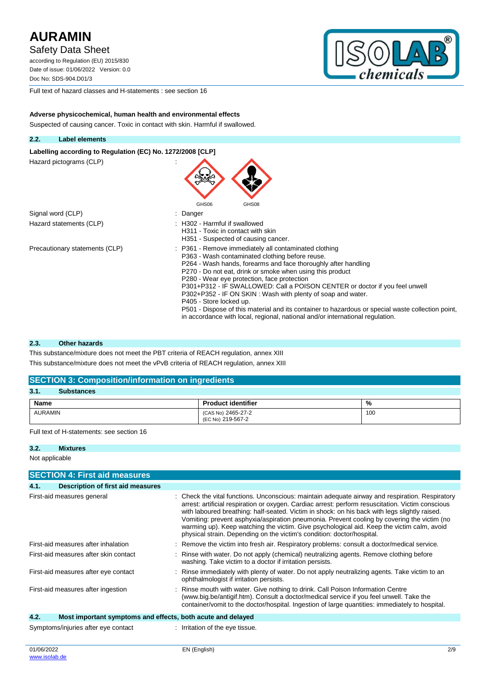Safety Data Sheet

according to Regulation (EU) 2015/830 Date of issue: 01/06/2022 Version: 0.0 Doc No: SDS-904.D01/3



Full text of hazard classes and H-statements : see section 16

**Adverse physicochemical, human health and environmental effects** Suspected of causing cancer. Toxic in contact with skin. Harmful if swallowed.



Labelling according to Regulation (EC) No. 1272/2008 [CLP] Hazard pictograms (CLP) : GHS06 GHS08 Signal word (CLP) in the state of the Signal word (CLP) in the state of the state of the Signal state of the S Hazard statements (CLP)  $\qquad \qquad$ : H302 - Harmful if swallowed H311 - Toxic in contact with skin H351 - Suspected of causing cancer. Precautionary statements (CLP) : P361 - Remove immediately all contaminated clothing P363 - Wash contaminated clothing before reuse. P264 - Wash hands, forearms and face thoroughly after handling P270 - Do not eat, drink or smoke when using this product P280 - Wear eye protection, face protection P301+P312 - IF SWALLOWED: Call a POISON CENTER or doctor if you feel unwell P302+P352 - IF ON SKIN : Wash with plenty of soap and water. P405 - Store locked up. P501 - Dispose of this material and its container to hazardous or special waste collection point, in accordance with local, regional, national and/or international regulation.

#### **2.3. Other hazards**

This substance/mixture does not meet the PBT criteria of REACH regulation, annex XIII This substance/mixture does not meet the vPvB criteria of REACH regulation, annex XIII

#### **SECTION 3: Composition/information on ingredients**

| 3.1.<br><b>Substances</b> |                                         |     |
|---------------------------|-----------------------------------------|-----|
| Name                      | <b>Product identifier</b>               | %   |
| <b>AURAMIN</b>            | (CAS No) 2465-27-2<br>(EC No) 219-567-2 | 100 |

Full text of H-statements: see section 16

### **3.2. Mixtures**

Not applicable

| <b>SECTION 4: First aid measures</b>                                |                                                                                                                                                                                                                                                                                                                                                                                                                                                                                                                                                                              |  |  |  |
|---------------------------------------------------------------------|------------------------------------------------------------------------------------------------------------------------------------------------------------------------------------------------------------------------------------------------------------------------------------------------------------------------------------------------------------------------------------------------------------------------------------------------------------------------------------------------------------------------------------------------------------------------------|--|--|--|
| 4.1.<br>Description of first aid measures                           |                                                                                                                                                                                                                                                                                                                                                                                                                                                                                                                                                                              |  |  |  |
| First-aid measures general                                          | : Check the vital functions. Unconscious: maintain adequate airway and respiration. Respiratory<br>arrest: artificial respiration or oxygen. Cardiac arrest: perform resuscitation. Victim conscious<br>with laboured breathing: half-seated. Victim in shock: on his back with legs slightly raised.<br>Vomiting: prevent asphyxia/aspiration pneumonia. Prevent cooling by covering the victim (no<br>warming up). Keep watching the victim. Give psychological aid. Keep the victim calm, avoid<br>physical strain. Depending on the victim's condition: doctor/hospital. |  |  |  |
| First-aid measures after inhalation                                 | : Remove the victim into fresh air. Respiratory problems: consult a doctor/medical service.                                                                                                                                                                                                                                                                                                                                                                                                                                                                                  |  |  |  |
| First-aid measures after skin contact                               | : Rinse with water. Do not apply (chemical) neutralizing agents. Remove clothing before<br>washing. Take victim to a doctor if irritation persists.                                                                                                                                                                                                                                                                                                                                                                                                                          |  |  |  |
| First-aid measures after eye contact                                | : Rinse immediately with plenty of water. Do not apply neutralizing agents. Take victim to an<br>ophthalmologist if irritation persists.                                                                                                                                                                                                                                                                                                                                                                                                                                     |  |  |  |
| First-aid measures after ingestion                                  | : Rinse mouth with water. Give nothing to drink. Call Poison Information Centre<br>(www.big.be/antigif.htm). Consult a doctor/medical service if you feel unwell. Take the<br>container/vomit to the doctor/hospital. Ingestion of large quantities: immediately to hospital.                                                                                                                                                                                                                                                                                                |  |  |  |
| 4.2.<br>Most important symptoms and effects, both acute and delayed |                                                                                                                                                                                                                                                                                                                                                                                                                                                                                                                                                                              |  |  |  |
| Symptoms/injuries after eye contact                                 | : Irritation of the eye tissue.                                                                                                                                                                                                                                                                                                                                                                                                                                                                                                                                              |  |  |  |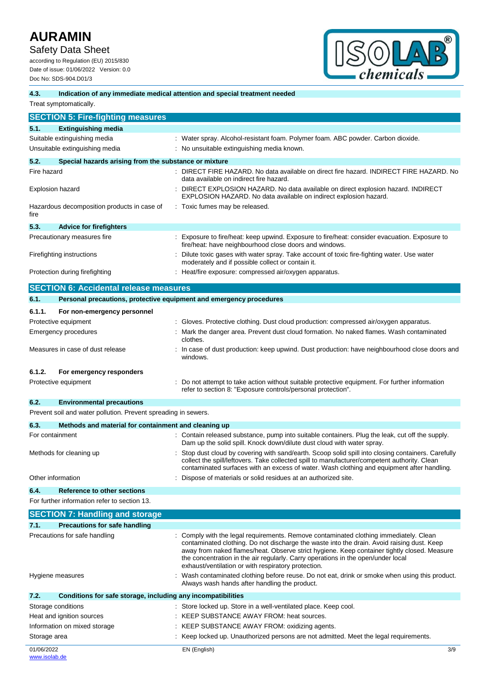Safety Data Sheet

according to Regulation (EU) 2015/830 Date of issue: 01/06/2022 Version: 0.0 Doc No: SDS-904.D01/3



### **4.3. Indication of any immediate medical attention and special treatment needed**

Treat symptomatically.

| <b>SECTION 5: Fire-fighting measures</b>                       |                                                                                                                                                                                                                                                                                                 |
|----------------------------------------------------------------|-------------------------------------------------------------------------------------------------------------------------------------------------------------------------------------------------------------------------------------------------------------------------------------------------|
| 5.1.<br><b>Extinguishing media</b>                             |                                                                                                                                                                                                                                                                                                 |
| Suitable extinguishing media                                   | : Water spray. Alcohol-resistant foam. Polymer foam. ABC powder. Carbon dioxide.                                                                                                                                                                                                                |
| Unsuitable extinguishing media                                 | : No unsuitable extinguishing media known.                                                                                                                                                                                                                                                      |
| 5.2.                                                           | Special hazards arising from the substance or mixture                                                                                                                                                                                                                                           |
| Fire hazard                                                    | : DIRECT FIRE HAZARD. No data available on direct fire hazard. INDIRECT FIRE HAZARD. No                                                                                                                                                                                                         |
|                                                                | data available on indirect fire hazard.                                                                                                                                                                                                                                                         |
| <b>Explosion hazard</b>                                        | DIRECT EXPLOSION HAZARD. No data available on direct explosion hazard. INDIRECT<br>EXPLOSION HAZARD. No data available on indirect explosion hazard.                                                                                                                                            |
| Hazardous decomposition products in case of<br>fire            | : Toxic fumes may be released.                                                                                                                                                                                                                                                                  |
| 5.3.<br><b>Advice for firefighters</b>                         |                                                                                                                                                                                                                                                                                                 |
| Precautionary measures fire                                    | : Exposure to fire/heat: keep upwind. Exposure to fire/heat: consider evacuation. Exposure to                                                                                                                                                                                                   |
|                                                                | fire/heat: have neighbourhood close doors and windows.                                                                                                                                                                                                                                          |
| Firefighting instructions                                      | Dilute toxic gases with water spray. Take account of toxic fire-fighting water. Use water<br>moderately and if possible collect or contain it.                                                                                                                                                  |
| Protection during firefighting                                 | Heat/fire exposure: compressed air/oxygen apparatus.                                                                                                                                                                                                                                            |
| <b>SECTION 6: Accidental release measures</b>                  |                                                                                                                                                                                                                                                                                                 |
| 6.1.                                                           | Personal precautions, protective equipment and emergency procedures                                                                                                                                                                                                                             |
| 6.1.1.                                                         |                                                                                                                                                                                                                                                                                                 |
| For non-emergency personnel                                    | : Gloves. Protective clothing. Dust cloud production: compressed air/oxygen apparatus.                                                                                                                                                                                                          |
| Protective equipment<br><b>Emergency procedures</b>            | Mark the danger area. Prevent dust cloud formation. No naked flames. Wash contaminated                                                                                                                                                                                                          |
|                                                                | clothes.                                                                                                                                                                                                                                                                                        |
| Measures in case of dust release                               | In case of dust production: keep upwind. Dust production: have neighbourhood close doors and<br>windows.                                                                                                                                                                                        |
| 6.1.2.<br>For emergency responders                             |                                                                                                                                                                                                                                                                                                 |
| Protective equipment                                           | Do not attempt to take action without suitable protective equipment. For further information                                                                                                                                                                                                    |
|                                                                | refer to section 8: "Exposure controls/personal protection".                                                                                                                                                                                                                                    |
| 6.2.<br><b>Environmental precautions</b>                       |                                                                                                                                                                                                                                                                                                 |
| Prevent soil and water pollution. Prevent spreading in sewers. |                                                                                                                                                                                                                                                                                                 |
| 6.3.                                                           | Methods and material for containment and cleaning up                                                                                                                                                                                                                                            |
| For containment                                                | : Contain released substance, pump into suitable containers. Plug the leak, cut off the supply.                                                                                                                                                                                                 |
|                                                                | Dam up the solid spill. Knock down/dilute dust cloud with water spray.                                                                                                                                                                                                                          |
| Methods for cleaning up                                        | Stop dust cloud by covering with sand/earth. Scoop solid spill into closing containers. Carefully<br>collect the spill/leftovers. Take collected spill to manufacturer/competent authority. Clean<br>contaminated surfaces with an excess of water. Wash clothing and equipment after handling. |
| Other information                                              | Dispose of materials or solid residues at an authorized site.                                                                                                                                                                                                                                   |
| 6.4.<br><b>Reference to other sections</b>                     |                                                                                                                                                                                                                                                                                                 |
| For further information refer to section 13.                   |                                                                                                                                                                                                                                                                                                 |
| <b>SECTION 7: Handling and storage</b>                         |                                                                                                                                                                                                                                                                                                 |
| <b>Precautions for safe handling</b><br>7.1.                   |                                                                                                                                                                                                                                                                                                 |
| Precautions for safe handling                                  | : Comply with the legal requirements. Remove contaminated clothing immediately. Clean                                                                                                                                                                                                           |
|                                                                | contaminated clothing. Do not discharge the waste into the drain. Avoid raising dust. Keep<br>away from naked flames/heat. Observe strict hygiene. Keep container tightly closed. Measure<br>the concentration in the air regularly. Carry operations in the open/under local                   |
| Hygiene measures                                               | exhaust/ventilation or with respiratory protection.<br>: Wash contaminated clothing before reuse. Do not eat, drink or smoke when using this product.                                                                                                                                           |
|                                                                | Always wash hands after handling the product.                                                                                                                                                                                                                                                   |
| 7.2.                                                           | Conditions for safe storage, including any incompatibilities                                                                                                                                                                                                                                    |
| Storage conditions                                             | : Store locked up. Store in a well-ventilated place. Keep cool.                                                                                                                                                                                                                                 |
| Heat and ignition sources                                      | : KEEP SUBSTANCE AWAY FROM: heat sources.                                                                                                                                                                                                                                                       |
| Information on mixed storage                                   | : KEEP SUBSTANCE AWAY FROM: oxidizing agents.                                                                                                                                                                                                                                                   |
| Storage area                                                   | : Keep locked up. Unauthorized persons are not admitted. Meet the legal requirements.                                                                                                                                                                                                           |
| 01/06/2022                                                     | EN (English)<br>3/9                                                                                                                                                                                                                                                                             |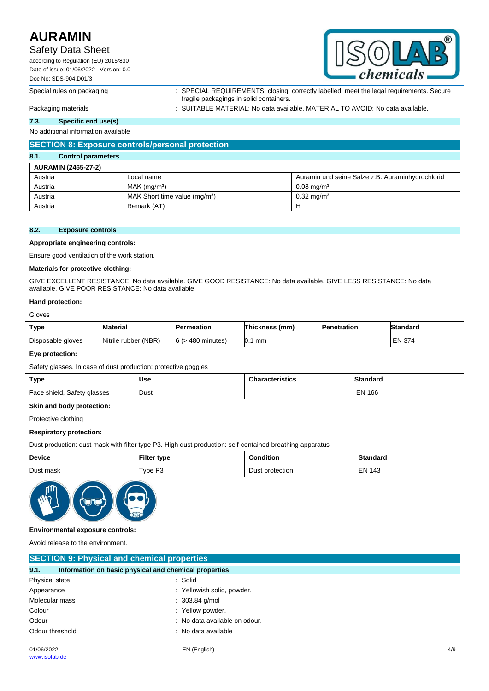## Safety Data Sheet

according to Regulation (EU) 2015/830 Date of issue: 01/06/2022 Version: 0.0 Doc No: SDS-904.D01/3



Special rules on packaging : SPECIAL REQUIREMENTS: closing. correctly labelled. meet the legal requirements. Secure fragile packagings in solid containers.

Packaging materials **intercal teams of the SUITABLE MATERIAL:** No data available. MATERIAL TO AVOID: No data available.

### **7.3. Specific end use(s)**

No additional information available

### **SECTION 8: Exposure controls/personal protection**

### **8.1. Control parameters**

| <b>AURAMIN (2465-27-2)</b> |                                           |                                                  |  |  |
|----------------------------|-------------------------------------------|--------------------------------------------------|--|--|
| Austria                    | Local name                                | Auramin und seine Salze z.B. Auraminhydrochlorid |  |  |
| Austria                    | $MAK$ (ma/m <sup>3</sup> )                | $0.08$ ma/m <sup>3</sup>                         |  |  |
| Austria                    | MAK Short time value (mg/m <sup>3</sup> ) | $0.32 \text{ ma/m}^3$                            |  |  |
| Austria                    | Remark (AT)                               | п                                                |  |  |

### **8.2. Exposure controls**

**Appropriate engineering controls:**

Ensure good ventilation of the work station.

#### **Materials for protective clothing:**

GIVE EXCELLENT RESISTANCE: No data available. GIVE GOOD RESISTANCE: No data available. GIVE LESS RESISTANCE: No data available. GIVE POOR RESISTANCE: No data available

#### **Hand protection:**

Gloves

| Type              | <b>Material</b>      | Permeation                        | Thickness (mm) | <b>Penetration</b> | Standard      |
|-------------------|----------------------|-----------------------------------|----------------|--------------------|---------------|
| Disposable gloves | Nitrile rubber (NBR) | 6/5<br>· 480 minutes <sup>)</sup> | mm             |                    | <b>EN 374</b> |

#### **Eye protection:**

Safety glasses. In case of dust production: protective goggles

| Type                        | <b>Use</b> | <b>Characteristics</b> | Standard      |
|-----------------------------|------------|------------------------|---------------|
| Face shield, Safety glasses | Dust       |                        | <b>EN 166</b> |

#### **Skin and body protection:**

Protective clothing

### **Respiratory protection:**

Dust production: dust mask with filter type P3. High dust production: self-contained breathing apparatus

| Device    | Filter type | <b>Condition</b> | <b>Standard</b> |
|-----------|-------------|------------------|-----------------|
| Dust mask | Type P3     | Dust protection  | <b>EN 143</b>   |



### **Environmental exposure controls:**

Avoid release to the environment.

| <b>SECTION 9: Physical and chemical properties</b>            |                               |  |  |  |
|---------------------------------------------------------------|-------------------------------|--|--|--|
| 9.1.<br>Information on basic physical and chemical properties |                               |  |  |  |
| Physical state                                                | : Solid                       |  |  |  |
| Appearance                                                    | Yellowish solid, powder.      |  |  |  |
| Molecular mass                                                | $: 303.84$ g/mol              |  |  |  |
| Colour                                                        | : Yellow powder.              |  |  |  |
| Odour                                                         | : No data available on odour. |  |  |  |
| Odour threshold                                               | : No data available           |  |  |  |
|                                                               |                               |  |  |  |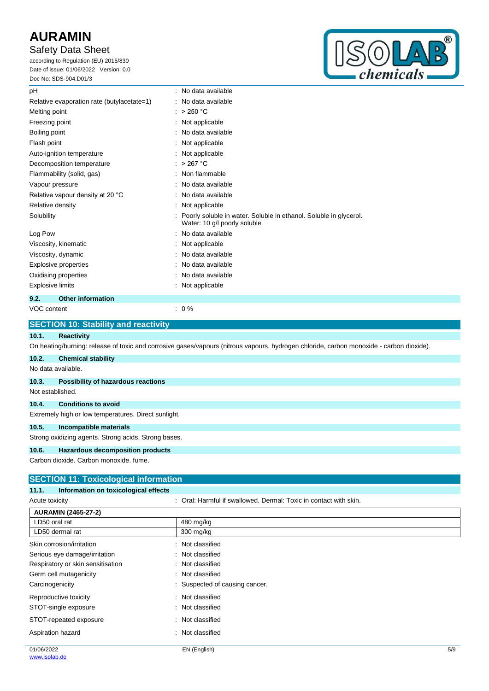# Safety Data Sheet

according to Regulation (EU) 2015/830 Date of issue: 01/06/2022 Version: 0.0 Doc No: SDS-904.D01/3



| pH                                         | : No data available                                                                               |
|--------------------------------------------|---------------------------------------------------------------------------------------------------|
| Relative evaporation rate (butylacetate=1) | : No data available                                                                               |
| Melting point                              | : $>250 °C$                                                                                       |
| Freezing point                             | Not applicable                                                                                    |
| Boiling point                              | : No data available                                                                               |
| Flash point                                | Not applicable                                                                                    |
| Auto-ignition temperature                  | : Not applicable                                                                                  |
| Decomposition temperature                  | : $>267$ °C                                                                                       |
| Flammability (solid, gas)                  | Non flammable                                                                                     |
| Vapour pressure                            | No data available                                                                                 |
| Relative vapour density at 20 °C           | No data available                                                                                 |
| Relative density                           | Not applicable                                                                                    |
| Solubility                                 | Poorly soluble in water. Soluble in ethanol. Soluble in glycerol.<br>Water: 10 g/l poorly soluble |
| Log Pow                                    | No data available                                                                                 |
| Viscosity, kinematic                       | Not applicable                                                                                    |
| Viscosity, dynamic                         | No data available                                                                                 |
| Explosive properties                       | No data available                                                                                 |
| Oxidising properties                       | No data available                                                                                 |
| <b>Explosive limits</b>                    | Not applicable                                                                                    |
| 9.2.<br><b>Other information</b>           |                                                                                                   |
| VOC content                                | $: 0\%$                                                                                           |

|       | <b>SECTION 10: Stability and reactivity</b>                                                                                              |  |  |  |
|-------|------------------------------------------------------------------------------------------------------------------------------------------|--|--|--|
| 10.1. | <b>Reactivity</b>                                                                                                                        |  |  |  |
|       | On heating/burning: release of toxic and corrosive gases/vapours (nitrous vapours, hydrogen chloride, carbon monoxide - carbon dioxide). |  |  |  |
| 10.2. | <b>Chemical stability</b>                                                                                                                |  |  |  |
|       | No data available.                                                                                                                       |  |  |  |
| 10.3. | <b>Possibility of hazardous reactions</b>                                                                                                |  |  |  |
|       | Not established.                                                                                                                         |  |  |  |
| 10.4. | <b>Conditions to avoid</b>                                                                                                               |  |  |  |
|       | Extremely high or low temperatures. Direct sunlight.                                                                                     |  |  |  |
| 10.5. | Incompatible materials                                                                                                                   |  |  |  |
|       | Strong oxidizing agents. Strong acids. Strong bases.                                                                                     |  |  |  |
| 10.6. | <b>Hazardous decomposition products</b>                                                                                                  |  |  |  |
|       | Carbon dioxide. Carbon monoxide, fume.                                                                                                   |  |  |  |
|       | <b>ISECTION 11: Toxicological information</b>                                                                                            |  |  |  |

| Information on toxicological effects<br>11.1. |                                                                   |     |
|-----------------------------------------------|-------------------------------------------------------------------|-----|
| Acute toxicity                                | : Oral: Harmful if swallowed. Dermal: Toxic in contact with skin. |     |
| <b>AURAMIN (2465-27-2)</b>                    |                                                                   |     |
| LD50 oral rat                                 | 480 mg/kg                                                         |     |
| LD50 dermal rat                               | 300 mg/kg                                                         |     |
| Skin corrosion/irritation                     | : Not classified                                                  |     |
| Serious eye damage/irritation                 | : Not classified                                                  |     |
| Respiratory or skin sensitisation             | : Not classified                                                  |     |
| Germ cell mutagenicity                        | : Not classified                                                  |     |
| Carcinogenicity                               | : Suspected of causing cancer.                                    |     |
| Reproductive toxicity                         | : Not classified                                                  |     |
| STOT-single exposure                          | : Not classified                                                  |     |
| STOT-repeated exposure                        | : Not classified                                                  |     |
| Aspiration hazard                             | Not classified                                                    |     |
| 01/06/2022                                    | EN (English)                                                      | 5/9 |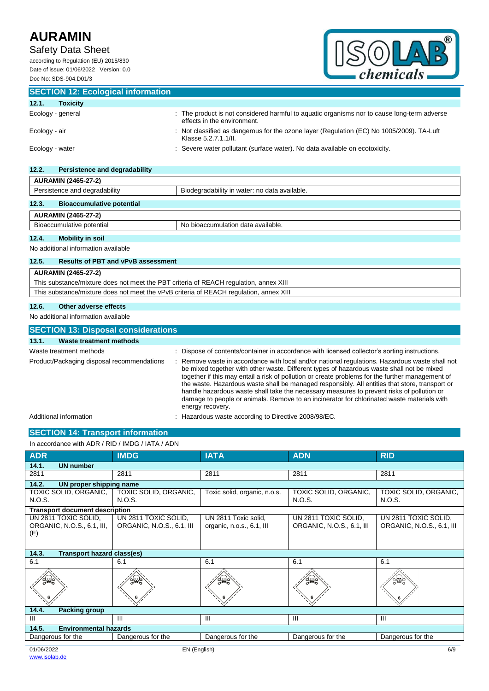# Safety Data Sheet

according to Regulation (EU) 2015/830 Date of issue: 01/06/2022 Version: 0.0 Doc No: SDS-904.D01/3



| <b>SECTION 12: Ecological information</b> |                                                                                                                            |
|-------------------------------------------|----------------------------------------------------------------------------------------------------------------------------|
| 12.1.<br><b>Toxicity</b>                  |                                                                                                                            |
| Ecology - general                         | : The product is not considered harmful to aquatic organisms nor to cause long-term adverse<br>effects in the environment. |
| Ecology - air                             | : Not classified as dangerous for the ozone layer (Regulation (EC) No 1005/2009). TA-Luft<br>Klasse 5.2.7.1.1/II.          |
| Ecology - water                           | : Severe water pollutant (surface water). No data available on ecotoxicity.                                                |

| 12.2.<br>Persistence and degradability    |                                               |  |  |
|-------------------------------------------|-----------------------------------------------|--|--|
| <b>AURAMIN (2465-27-2)</b>                |                                               |  |  |
| Persistence and degradability             | Biodegradability in water: no data available. |  |  |
| 12.3.<br><b>Bioaccumulative potential</b> |                                               |  |  |
| AUR AMIN (2465-27-2)                      |                                               |  |  |

#### **AURAMIN (2465-27-2)** Bioaccumulative potential No bioaccumulation data available.

### **12.4. Mobility in soil**

No additional information available

### **12.5. Results of PBT and vPvB assessment**

| AURAMIN (2465-27-2)                                                                    |
|----------------------------------------------------------------------------------------|
| This substance/mixture does not meet the PBT criteria of REACH regulation, annex XIII  |
| This substance/mixture does not meet the vPvB criteria of REACH regulation, annex XIII |
| 10C<br>Othar advarage offeets                                                          |

#### **12.6. Other adverse effects**

No additional information available

| <b>SECTION 13: Disposal considerations</b> |                                                                                                                                                                                                                                                                                                                                                                                                                                                                                                                                                                                                                |  |  |  |
|--------------------------------------------|----------------------------------------------------------------------------------------------------------------------------------------------------------------------------------------------------------------------------------------------------------------------------------------------------------------------------------------------------------------------------------------------------------------------------------------------------------------------------------------------------------------------------------------------------------------------------------------------------------------|--|--|--|
| Waste treatment methods<br>13.1.           |                                                                                                                                                                                                                                                                                                                                                                                                                                                                                                                                                                                                                |  |  |  |
| Waste treatment methods                    | Dispose of contents/container in accordance with licensed collector's sorting instructions.                                                                                                                                                                                                                                                                                                                                                                                                                                                                                                                    |  |  |  |
| Product/Packaging disposal recommendations | Remove waste in accordance with local and/or national regulations. Hazardous waste shall not<br>be mixed together with other waste. Different types of hazardous waste shall not be mixed<br>together if this may entail a risk of pollution or create problems for the further management of<br>the waste. Hazardous waste shall be managed responsibly. All entities that store, transport or<br>handle hazardous waste shall take the necessary measures to prevent risks of pollution or<br>damage to people or animals. Remove to an incinerator for chlorinated waste materials with<br>energy recovery. |  |  |  |
| Additional information                     | Hazardous waste according to Directive 2008/98/EC.                                                                                                                                                                                                                                                                                                                                                                                                                                                                                                                                                             |  |  |  |

# **SECTION 14: Transport information**

| In accordance with ADR / RID / IMDG / IATA / ADN          |                                                   |                                                   |                                                   |                                                   |
|-----------------------------------------------------------|---------------------------------------------------|---------------------------------------------------|---------------------------------------------------|---------------------------------------------------|
| <b>ADR</b>                                                | <b>IMDG</b>                                       | <b>IATA</b>                                       | <b>ADN</b>                                        | <b>RID</b>                                        |
| 14.1.<br><b>UN number</b>                                 |                                                   |                                                   |                                                   |                                                   |
| 2811                                                      | 2811                                              | 2811                                              | 2811                                              | 2811                                              |
| 14.2.<br>UN proper shipping name                          |                                                   |                                                   |                                                   |                                                   |
| TOXIC SOLID, ORGANIC,<br>N.O.S.                           | TOXIC SOLID, ORGANIC,<br>N.O.S.                   | Toxic solid, organic, n.o.s.                      | TOXIC SOLID, ORGANIC,<br>N.O.S.                   | TOXIC SOLID, ORGANIC,<br>N.O.S.                   |
| <b>Transport document description</b>                     |                                                   |                                                   |                                                   |                                                   |
| UN 2811 TOXIC SOLID,<br>ORGANIC, N.O.S., 6.1, III,<br>(E) | UN 2811 TOXIC SOLID,<br>ORGANIC, N.O.S., 6.1, III | UN 2811 Toxic solid,<br>organic, n.o.s., 6.1, III | UN 2811 TOXIC SOLID,<br>ORGANIC, N.O.S., 6.1, III | UN 2811 TOXIC SOLID,<br>ORGANIC, N.O.S., 6.1, III |
| 14.3.<br><b>Transport hazard class(es)</b>                |                                                   |                                                   |                                                   |                                                   |
| 6.1                                                       | 6.1                                               | 6.1                                               | 6.1                                               | 6.1                                               |
|                                                           |                                                   |                                                   |                                                   |                                                   |
| 14.4.<br><b>Packing group</b>                             |                                                   |                                                   |                                                   |                                                   |
| Ш                                                         | Ш                                                 | Ш                                                 | Ш                                                 | Ш                                                 |
| 14.5.<br><b>Environmental hazards</b>                     |                                                   |                                                   |                                                   |                                                   |
| Dangerous for the                                         | Dangerous for the                                 | Dangerous for the                                 | Dangerous for the                                 | Dangerous for the                                 |
| 01/06/2022                                                | EN (English)                                      |                                                   |                                                   | 6/9                                               |

[www.isolab.de](http://www.isolab.de/)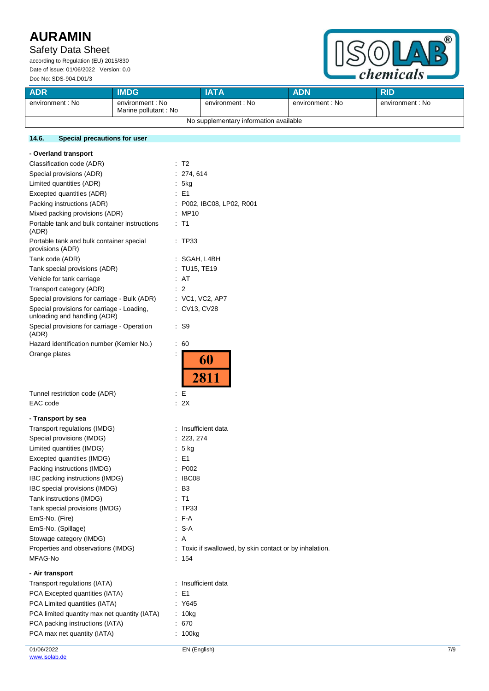## Safety Data Sheet

according to Regulation (EU) 2015/830 Date of issue: 01/06/2022 Version: 0.0 Doc No: SDS-904.D01/3



| <b>ADR</b>                             | <b>IMDG</b>                              | IATA             | <b>ADN</b>       | <b>RID</b>       |
|----------------------------------------|------------------------------------------|------------------|------------------|------------------|
| environment : No                       | environment : No<br>Marine pollutant: No | environment : No | environment : No | environment : No |
| No supplementary information available |                                          |                  |                  |                  |

### **14.6. Special precautions for user**

| - Overland transport                                                       |                                                         |     |
|----------------------------------------------------------------------------|---------------------------------------------------------|-----|
| Classification code (ADR)                                                  | $\therefore$ T2                                         |     |
| Special provisions (ADR)                                                   | : 274, 614                                              |     |
| Limited quantities (ADR)                                                   | : 5kg                                                   |     |
| Excepted quantities (ADR)                                                  | $\therefore$ E1                                         |     |
| Packing instructions (ADR)                                                 | : P002, IBC08, LP02, R001                               |     |
| Mixed packing provisions (ADR)                                             | : MP10                                                  |     |
| Portable tank and bulk container instructions<br>(ADR)                     | $:$ T1                                                  |     |
| Portable tank and bulk container special<br>provisions (ADR)               | : TP33                                                  |     |
| Tank code (ADR)                                                            | : SGAH, L4BH                                            |     |
| Tank special provisions (ADR)                                              | : TU15, TE19                                            |     |
| Vehicle for tank carriage                                                  | : AT                                                    |     |
| Transport category (ADR)                                                   | $\therefore$ 2                                          |     |
| Special provisions for carriage - Bulk (ADR)                               | : VC1, VC2, AP7                                         |     |
| Special provisions for carriage - Loading,<br>unloading and handling (ADR) | : CV13, CV28                                            |     |
| Special provisions for carriage - Operation<br>(ADR)                       | $\cdot$ S9                                              |     |
| Hazard identification number (Kemler No.)                                  | $\therefore 60$                                         |     |
| Orange plates                                                              | 60                                                      |     |
|                                                                            | 2811                                                    |     |
| Tunnel restriction code (ADR)                                              | E<br>÷                                                  |     |
| EAC code                                                                   | : 2X                                                    |     |
| - Transport by sea                                                         |                                                         |     |
| Transport regulations (IMDG)                                               | : Insufficient data                                     |     |
| Special provisions (IMDG)                                                  | 223, 274                                                |     |
| Limited quantities (IMDG)                                                  | : 5 kg                                                  |     |
| Excepted quantities (IMDG)                                                 | $\therefore$ E1                                         |     |
| Packing instructions (IMDG)                                                | P002                                                    |     |
| IBC packing instructions (IMDG)                                            | IBC08                                                   |     |
| IBC special provisions (IMDG)                                              | $\mathbf{B3}$                                           |     |
| Tank instructions (IMDG)                                                   | : T1                                                    |     |
| Tank special provisions (IMDG)                                             | : TP33                                                  |     |
| EmS-No. (Fire)                                                             | : F-A                                                   |     |
| EmS-No. (Spillage)                                                         | $: S-A$                                                 |     |
| Stowage category (IMDG)                                                    | : A                                                     |     |
| Properties and observations (IMDG)                                         | : Toxic if swallowed, by skin contact or by inhalation. |     |
| MFAG-No                                                                    | : 154                                                   |     |
|                                                                            |                                                         |     |
| - Air transport                                                            |                                                         |     |
| Transport regulations (IATA)                                               | : Insufficient data                                     |     |
| PCA Excepted quantities (IATA)                                             | E <sub>1</sub>                                          |     |
| PCA Limited quantities (IATA)                                              | : Y645                                                  |     |
| PCA limited quantity max net quantity (IATA)                               | : 10kg                                                  |     |
| PCA packing instructions (IATA)                                            | : 670                                                   |     |
| PCA max net quantity (IATA)                                                | : 100kg                                                 |     |
| 01/06/2022                                                                 | EN (English)                                            | 7/9 |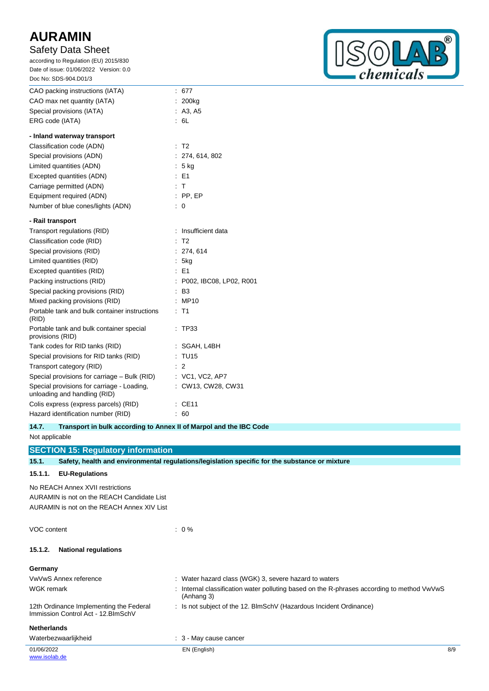## Safety Data Sheet

according to Regulation (EU) 2015/830 Date of issue: 01/06/2022 Version: 0.0



| Doc No: SDS-904.D01/3                                                      |                      |                         |
|----------------------------------------------------------------------------|----------------------|-------------------------|
| CAO packing instructions (IATA)                                            | $\ddot{\phantom{a}}$ | 677                     |
| CAO max net quantity (IATA)                                                |                      | 200ka                   |
| Special provisions (IATA)                                                  |                      | A3, A5                  |
| ERG code (IATA)                                                            |                      | : 6L                    |
| - Inland waterway transport                                                |                      |                         |
| Classification code (ADN)                                                  |                      | $:$ T2                  |
| Special provisions (ADN)                                                   |                      | 274, 614, 802           |
| Limited quantities (ADN)                                                   |                      | : 5 ka                  |
| Excepted quantities (ADN)                                                  |                      | $E = 1$                 |
| Carriage permitted (ADN)                                                   | t                    | т                       |
| Equipment required (ADN)                                                   |                      | $:$ PP, EP              |
| Number of blue cones/lights (ADN)                                          | t                    | 0                       |
| - Rail transport                                                           |                      |                         |
| Transport regulations (RID)                                                |                      | Insufficient data       |
| Classification code (RID)                                                  |                      | T <sub>2</sub>          |
| Special provisions (RID)                                                   | ÷                    | 274, 614                |
| Limited quantities (RID)                                                   |                      | 5kg                     |
| Excepted quantities (RID)                                                  |                      | : E1                    |
| Packing instructions (RID)                                                 |                      | P002, IBC08, LP02, R001 |
| Special packing provisions (RID)                                           |                      | B <sub>3</sub>          |
| Mixed packing provisions (RID)                                             |                      | <b>MP10</b>             |
| Portable tank and bulk container instructions<br>(RID)                     |                      | T1                      |
| Portable tank and bulk container special<br>provisions (RID)               |                      | <b>TP33</b>             |
| Tank codes for RID tanks (RID)                                             |                      | SGAH, L4BH              |
| Special provisions for RID tanks (RID)                                     | ÷                    | <b>TU15</b>             |
| Transport category (RID)                                                   |                      | 2                       |
| Special provisions for carriage – Bulk (RID)                               |                      | $:$ VC1, VC2, AP7       |
| Special provisions for carriage - Loading,<br>unloading and handling (RID) |                      | CW13, CW28, CW31        |
| Colis express (express parcels) (RID)                                      |                      | CE11                    |
| Hazard identification number (RID)                                         |                      | 60                      |

### **14.7. Transport in bulk according to Annex II of Marpol and the IBC Code**

Not applicable

## **SECTION 15: Regulatory information**

**15.1. Safety, health and environmental regulations/legislation specific for the substance or mixture**

### **15.1.1. EU-Regulations**

No REACH Annex XVII restrictions AURAMIN is not on the REACH Candidate List AURAMIN is not on the REACH Annex XIV List

| VOC content | $\therefore$ 0 % |
|-------------|------------------|
|             |                  |
|             |                  |

# **15.1.2. National regulations**

| Germany                                                                        |                                                                                                            |     |
|--------------------------------------------------------------------------------|------------------------------------------------------------------------------------------------------------|-----|
| VwVwS Annex reference                                                          | : Water hazard class (WGK) 3, severe hazard to waters                                                      |     |
| WGK remark                                                                     | : Internal classification water polluting based on the R-phrases according to method $VwVwS$<br>(Anhang 3) |     |
| 12th Ordinance Implementing the Federal<br>Immission Control Act - 12. BlmSchV | : Is not subject of the 12. BlmSchV (Hazardous Incident Ordinance)                                         |     |
| <b>Netherlands</b>                                                             |                                                                                                            |     |
| Waterbezwaarlijkheid                                                           | $\therefore$ 3 - May cause cancer                                                                          |     |
| 01/06/2022<br>www.isolab.de                                                    | EN (English)                                                                                               | 8/9 |